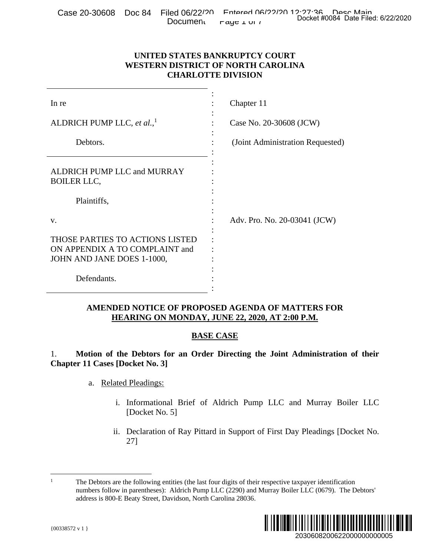|  |                                                                                      | . Case 20-30608    Doc 84    Filed 06/22/20    Fotered 06/22/20 12:22:36 بِيمِينَ مِيمِينَ Pase 20-30608 |  | Docket #0084 Date Filed: 6/22/2020 |
|--|--------------------------------------------------------------------------------------|----------------------------------------------------------------------------------------------------------|--|------------------------------------|
|  | Document $\mathsf{r}_{\mathsf{a}\mathsf{y}\mathsf{c}\mathsf{1}\mathsf{u}\mathsf{1}}$ |                                                                                                          |  |                                    |

# **UNITED STATES BANKRUPTCY COURT WESTERN DISTRICT OF NORTH CAROLINA CHARLOTTE DIVISION**

| <b>Document</b>                                                                                 | Docket #0084 Date Filed: 6/22/2020<br>raye $\perp$ UI 1                                                                                                                                                        |  |  |
|-------------------------------------------------------------------------------------------------|----------------------------------------------------------------------------------------------------------------------------------------------------------------------------------------------------------------|--|--|
|                                                                                                 | UNITED STATES BANKRUPTCY COURT<br><b>WESTERN DISTRICT OF NORTH CAROLINA</b><br><b>CHARLOTTE DIVISION</b>                                                                                                       |  |  |
| In re                                                                                           | Chapter 11                                                                                                                                                                                                     |  |  |
| ALDRICH PUMP LLC, et al., <sup>1</sup>                                                          | Case No. 20-30608 (JCW)                                                                                                                                                                                        |  |  |
| Debtors.                                                                                        | (Joint Administration Requested)                                                                                                                                                                               |  |  |
| ALDRICH PUMP LLC and MURRAY<br><b>BOILER LLC,</b>                                               |                                                                                                                                                                                                                |  |  |
| Plaintiffs,                                                                                     |                                                                                                                                                                                                                |  |  |
| V.                                                                                              | Adv. Pro. No. 20-03041 (JCW)                                                                                                                                                                                   |  |  |
| THOSE PARTIES TO ACTIONS LISTED<br>ON APPENDIX A TO COMPLAINT and<br>JOHN AND JANE DOES 1-1000, |                                                                                                                                                                                                                |  |  |
| Defendants.                                                                                     |                                                                                                                                                                                                                |  |  |
|                                                                                                 | <b>AMENDED NOTICE OF PROPOSED AGENDA OF MATTERS FOR</b><br>HEARING ON MONDAY, JUNE 22, 2020, AT 2:00 P.M.                                                                                                      |  |  |
|                                                                                                 | <b>BASE CASE</b>                                                                                                                                                                                               |  |  |
| 1.<br><b>Chapter 11 Cases [Docket No. 3]</b>                                                    | Motion of the Debtors for an Order Directing the Joint Administration of their                                                                                                                                 |  |  |
| <b>Related Pleadings:</b><br>a.                                                                 |                                                                                                                                                                                                                |  |  |
| $\mathbf{i}$ .<br>[Docket No. 5]                                                                | Informational Brief of Aldrich Pump LLC and Murray Boiler LLC                                                                                                                                                  |  |  |
| 27]                                                                                             | ii. Declaration of Ray Pittard in Support of First Day Pleadings [Docket No.                                                                                                                                   |  |  |
| 1<br>address is 800-E Beaty Street, Davidson, North Carolina 28036.                             | The Debtors are the following entities (the last four digits of their respective taxpayer identification<br>numbers follow in parentheses): Aldrich Pump LLC (2290) and Murray Boiler LLC (0679). The Debtors' |  |  |
| ${00338572 \text{ v } 1}$                                                                       | ∭∭<br>20306082006220000000000005                                                                                                                                                                               |  |  |

# **AMENDED NOTICE OF PROPOSED AGENDA OF MATTERS FOR HEARING ON MONDAY, JUNE 22, 2020, AT 2:00 P.M.**

# **BASE CASE**

- a. Related Pleadings:
	- i. Informational Brief of Aldrich Pump LLC and Murray Boiler LLC [Docket No. 5]
	- ii. Declaration of Ray Pittard in Support of First Day Pleadings [Docket No. 27]

<sup>1</sup> 1 The Debtors are the following entities (the last four digits of their respective taxpayer identification numbers follow in parentheses): Aldrich Pump LLC (2290) and Murray Boiler LLC (0679). The Debtors' address is 800-E Beaty Street, Davidson, North Carolina 28036.

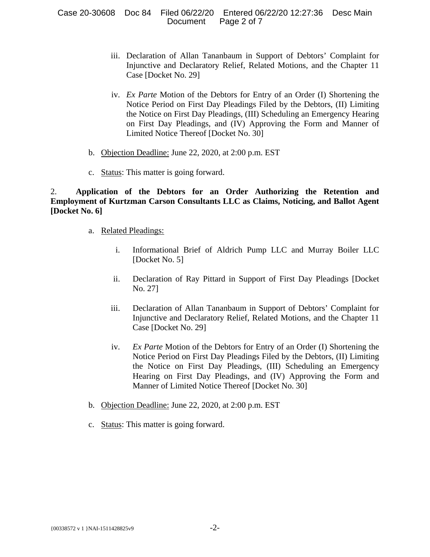Case 20-30608 Doc 84 Filed 06/22/20 Entered 06/22/20 12:27:36 Desc Main Document Page 2 of 7

- iii. Declaration of Allan Tananbaum in Support of Debtors' Complaint for Injunctive and Declaratory Relief, Related Motions, and the Chapter 11 Case [Docket No. 29]
- iv. *Ex Parte* Motion of the Debtors for Entry of an Order (I) Shortening the Notice Period on First Day Pleadings Filed by the Debtors, (II) Limiting the Notice on First Day Pleadings, (III) Scheduling an Emergency Hearing on First Day Pleadings, and (IV) Approving the Form and Manner of Limited Notice Thereof [Docket No. 30]
- b. Objection Deadline: June 22, 2020, at 2:00 p.m. EST
- c. Status: This matter is going forward.

2. **Application of the Debtors for an Order Authorizing the Retention and Employment of Kurtzman Carson Consultants LLC as Claims, Noticing, and Ballot Agent [Docket No. 6]**

- a. Related Pleadings:
	- i. Informational Brief of Aldrich Pump LLC and Murray Boiler LLC [Docket No. 5]
	- ii. Declaration of Ray Pittard in Support of First Day Pleadings [Docket No. 27]
	- iii. Declaration of Allan Tananbaum in Support of Debtors' Complaint for Injunctive and Declaratory Relief, Related Motions, and the Chapter 11 Case [Docket No. 29]
	- iv. *Ex Parte* Motion of the Debtors for Entry of an Order (I) Shortening the Notice Period on First Day Pleadings Filed by the Debtors, (II) Limiting the Notice on First Day Pleadings, (III) Scheduling an Emergency Hearing on First Day Pleadings, and (IV) Approving the Form and Manner of Limited Notice Thereof [Docket No. 30]
- b. Objection Deadline: June 22, 2020, at 2:00 p.m. EST
- c. Status: This matter is going forward.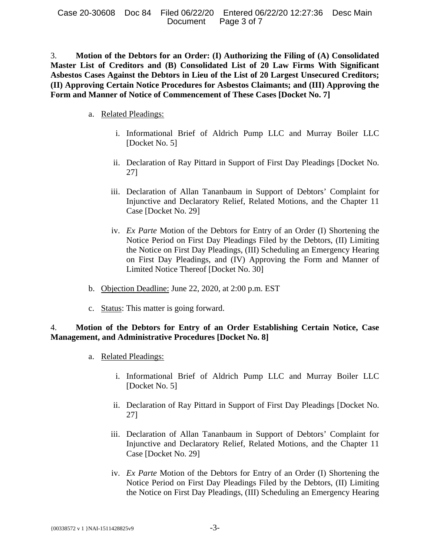3. **Motion of the Debtors for an Order: (I) Authorizing the Filing of (A) Consolidated Master List of Creditors and (B) Consolidated List of 20 Law Firms With Significant Asbestos Cases Against the Debtors in Lieu of the List of 20 Largest Unsecured Creditors; (II) Approving Certain Notice Procedures for Asbestos Claimants; and (III) Approving the Form and Manner of Notice of Commencement of These Cases [Docket No. 7]**

- a. Related Pleadings:
	- i. Informational Brief of Aldrich Pump LLC and Murray Boiler LLC [Docket No. 5]
	- ii. Declaration of Ray Pittard in Support of First Day Pleadings [Docket No. 27]
	- iii. Declaration of Allan Tananbaum in Support of Debtors' Complaint for Injunctive and Declaratory Relief, Related Motions, and the Chapter 11 Case [Docket No. 29]
	- iv. *Ex Parte* Motion of the Debtors for Entry of an Order (I) Shortening the Notice Period on First Day Pleadings Filed by the Debtors, (II) Limiting the Notice on First Day Pleadings, (III) Scheduling an Emergency Hearing on First Day Pleadings, and (IV) Approving the Form and Manner of Limited Notice Thereof [Docket No. 30]
- b. Objection Deadline: June 22, 2020, at 2:00 p.m. EST
- c. Status: This matter is going forward.

# 4. **Motion of the Debtors for Entry of an Order Establishing Certain Notice, Case Management, and Administrative Procedures [Docket No. 8]**

- a. Related Pleadings:
	- i. Informational Brief of Aldrich Pump LLC and Murray Boiler LLC [Docket No. 5]
	- ii. Declaration of Ray Pittard in Support of First Day Pleadings [Docket No. 27]
	- iii. Declaration of Allan Tananbaum in Support of Debtors' Complaint for Injunctive and Declaratory Relief, Related Motions, and the Chapter 11 Case [Docket No. 29]
	- iv. *Ex Parte* Motion of the Debtors for Entry of an Order (I) Shortening the Notice Period on First Day Pleadings Filed by the Debtors, (II) Limiting the Notice on First Day Pleadings, (III) Scheduling an Emergency Hearing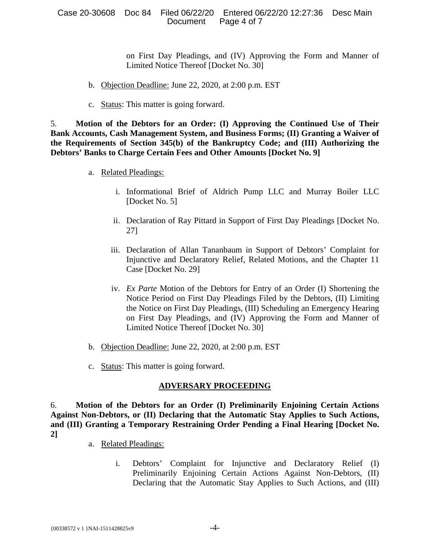#### Case 20-30608 Doc 84 Filed 06/22/20 Entered 06/22/20 12:27:36 Desc Main Document Page 4 of 7

on First Day Pleadings, and (IV) Approving the Form and Manner of Limited Notice Thereof [Docket No. 30]

- b. Objection Deadline: June 22, 2020, at 2:00 p.m. EST
- c. Status: This matter is going forward.

5. **Motion of the Debtors for an Order: (I) Approving the Continued Use of Their Bank Accounts, Cash Management System, and Business Forms; (II) Granting a Waiver of the Requirements of Section 345(b) of the Bankruptcy Code; and (III) Authorizing the Debtors' Banks to Charge Certain Fees and Other Amounts [Docket No. 9]**

- a. Related Pleadings:
	- i. Informational Brief of Aldrich Pump LLC and Murray Boiler LLC [Docket No. 5]
	- ii. Declaration of Ray Pittard in Support of First Day Pleadings [Docket No. 27]
	- iii. Declaration of Allan Tananbaum in Support of Debtors' Complaint for Injunctive and Declaratory Relief, Related Motions, and the Chapter 11 Case [Docket No. 29]
	- iv. *Ex Parte* Motion of the Debtors for Entry of an Order (I) Shortening the Notice Period on First Day Pleadings Filed by the Debtors, (II) Limiting the Notice on First Day Pleadings, (III) Scheduling an Emergency Hearing on First Day Pleadings, and (IV) Approving the Form and Manner of Limited Notice Thereof [Docket No. 30]
- b. Objection Deadline: June 22, 2020, at 2:00 p.m. EST
- c. Status: This matter is going forward.

### **ADVERSARY PROCEEDING**

6. **Motion of the Debtors for an Order (I) Preliminarily Enjoining Certain Actions Against Non-Debtors, or (II) Declaring that the Automatic Stay Applies to Such Actions, and (III) Granting a Temporary Restraining Order Pending a Final Hearing [Docket No. 2]**

- a. Related Pleadings:
	- i. Debtors' Complaint for Injunctive and Declaratory Relief (I) Preliminarily Enjoining Certain Actions Against Non-Debtors, (II) Declaring that the Automatic Stay Applies to Such Actions, and (III)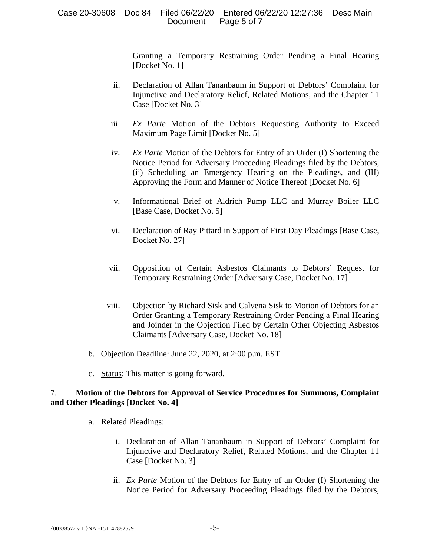Granting a Temporary Restraining Order Pending a Final Hearing [Docket No. 1]

- ii. Declaration of Allan Tananbaum in Support of Debtors' Complaint for Injunctive and Declaratory Relief, Related Motions, and the Chapter 11 Case [Docket No. 3]
- iii. *Ex Parte* Motion of the Debtors Requesting Authority to Exceed Maximum Page Limit [Docket No. 5]
- iv. *Ex Parte* Motion of the Debtors for Entry of an Order (I) Shortening the Notice Period for Adversary Proceeding Pleadings filed by the Debtors, (ii) Scheduling an Emergency Hearing on the Pleadings, and (III) Approving the Form and Manner of Notice Thereof [Docket No. 6]
- v. Informational Brief of Aldrich Pump LLC and Murray Boiler LLC [Base Case, Docket No. 5]
- vi. Declaration of Ray Pittard in Support of First Day Pleadings [Base Case, Docket No. 27]
- vii. Opposition of Certain Asbestos Claimants to Debtors' Request for Temporary Restraining Order [Adversary Case, Docket No. 17]
- viii. Objection by Richard Sisk and Calvena Sisk to Motion of Debtors for an Order Granting a Temporary Restraining Order Pending a Final Hearing and Joinder in the Objection Filed by Certain Other Objecting Asbestos Claimants [Adversary Case, Docket No. 18]
- b. Objection Deadline: June 22, 2020, at 2:00 p.m. EST
- c. Status: This matter is going forward.

# 7. **Motion of the Debtors for Approval of Service Procedures for Summons, Complaint and Other Pleadings [Docket No. 4]**

- a. Related Pleadings:
	- i. Declaration of Allan Tananbaum in Support of Debtors' Complaint for Injunctive and Declaratory Relief, Related Motions, and the Chapter 11 Case [Docket No. 3]
	- ii. *Ex Parte* Motion of the Debtors for Entry of an Order (I) Shortening the Notice Period for Adversary Proceeding Pleadings filed by the Debtors,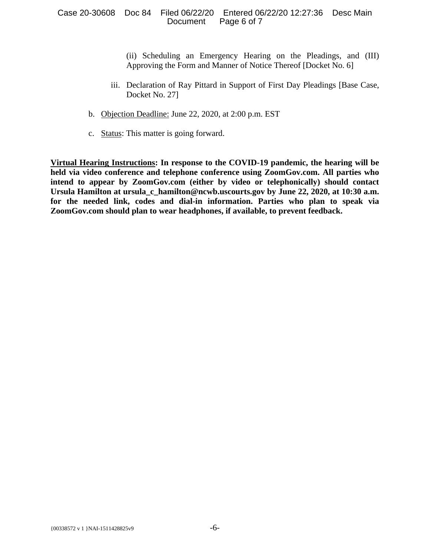#### Case 20-30608 Doc 84 Filed 06/22/20 Entered 06/22/20 12:27:36 Desc Main Document Page 6 of 7

(ii) Scheduling an Emergency Hearing on the Pleadings, and (III) Approving the Form and Manner of Notice Thereof [Docket No. 6]

- iii. Declaration of Ray Pittard in Support of First Day Pleadings [Base Case, Docket No. 27]
- b. Objection Deadline: June 22, 2020, at 2:00 p.m. EST
- c. Status: This matter is going forward.

**Virtual Hearing Instructions: In response to the COVID-19 pandemic, the hearing will be held via video conference and telephone conference using ZoomGov.com. All parties who intend to appear by ZoomGov.com (either by video or telephonically) should contact Ursula Hamilton at ursula\_c\_hamilton@ncwb.uscourts.gov by June 22, 2020, at 10:30 a.m. for the needed link, codes and dial-in information. Parties who plan to speak via ZoomGov.com should plan to wear headphones, if available, to prevent feedback.**